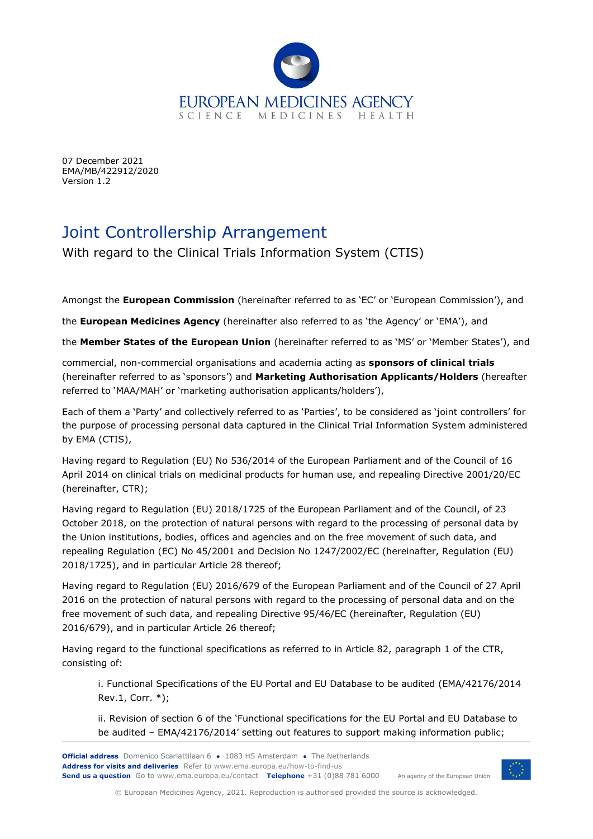

07 December 2021 EMA/MB/422912/2020 Version 1.2

# Joint Controllership Arrangement

With regard to the Clinical Trials Information System (CTIS)

Amongst the **European Commission** (hereinafter referred to as 'EC' or 'European Commission'), and

the **European Medicines Agency** (hereinafter also referred to as 'the Agency' or 'EMA'), and

the **Member States of the European Union** (hereinafter referred to as 'MS' or 'Member States'), and

commercial, non-commercial organisations and academia acting as **sponsors of clinical trials** (hereinafter referred to as 'sponsors') and **Marketing Authorisation Applicants/Holders** (hereafter referred to 'MAA/MAH' or 'marketing authorisation applicants/holders'),

Each of them a 'Party' and collectively referred to as 'Parties', to be considered as 'joint controllers' for the purpose of processing personal data captured in the Clinical Trial Information System administered by EMA (CTIS),

Having regard to Regulation (EU) No 536/2014 of the European Parliament and of the Council of 16 April 2014 on clinical trials on medicinal products for human use, and repealing Directive 2001/20/EC (hereinafter, CTR);

Having regard to Regulation (EU) 2018/1725 of the European Parliament and of the Council, of 23 October 2018, on the protection of natural persons with regard to the processing of personal data by the Union institutions, bodies, offices and agencies and on the free movement of such data, and repealing Regulation (EC) No 45/2001 and Decision No 1247/2002/EC (hereinafter, Regulation (EU) 2018/1725), and in particular Article 28 thereof;

Having regard to Regulation (EU) 2016/679 of the European Parliament and of the Council of 27 April 2016 on the protection of natural persons with regard to the processing of personal data and on the free movement of such data, and repealing Directive 95/46/EC (hereinafter, Regulation (EU) 2016/679), and in particular Article 26 thereof;

Having regard to the functional specifications as referred to in Article 82, paragraph 1 of the CTR, consisting of:

i. Functional Specifications of the EU Portal and EU Database to be audited (EMA/42176/2014 Rev.1, Corr. \*);

ii. Revision of section 6 of the 'Functional specifications for the EU Portal and EU Database to be audited – EMA/42176/2014' setting out features to support making information public;



© European Medicines Agency, 2021. Reproduction is authorised provided the source is acknowledged.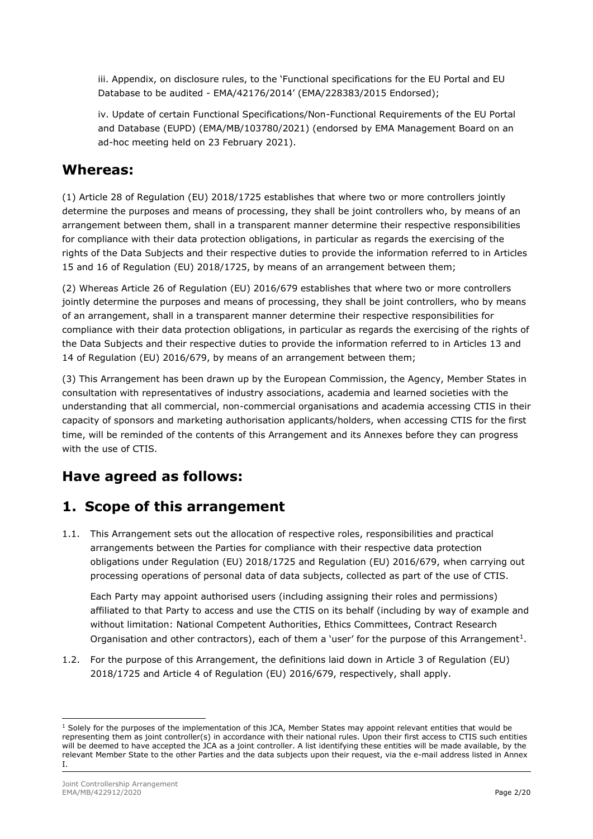iii. Appendix, on disclosure rules, to the 'Functional specifications for the EU Portal and EU Database to be audited - EMA/42176/2014' (EMA/228383/2015 Endorsed);

iv. Update of certain Functional Specifications/Non-Functional Requirements of the EU Portal and Database (EUPD) (EMA/MB/103780/2021) (endorsed by EMA Management Board on an ad-hoc meeting held on 23 February 2021).

## **Whereas:**

(1) Article 28 of Regulation (EU) 2018/1725 establishes that where two or more controllers jointly determine the purposes and means of processing, they shall be joint controllers who, by means of an arrangement between them, shall in a transparent manner determine their respective responsibilities for compliance with their data protection obligations, in particular as regards the exercising of the rights of the Data Subjects and their respective duties to provide the information referred to in Articles 15 and 16 of Regulation (EU) 2018/1725, by means of an arrangement between them;

(2) Whereas Article 26 of Regulation (EU) 2016/679 establishes that where two or more controllers jointly determine the purposes and means of processing, they shall be joint controllers, who by means of an arrangement, shall in a transparent manner determine their respective responsibilities for compliance with their data protection obligations, in particular as regards the exercising of the rights of the Data Subjects and their respective duties to provide the information referred to in Articles 13 and 14 of Regulation (EU) 2016/679, by means of an arrangement between them;

(3) This Arrangement has been drawn up by the European Commission, the Agency, Member States in consultation with representatives of industry associations, academia and learned societies with the understanding that all commercial, non-commercial organisations and academia accessing CTIS in their capacity of sponsors and marketing authorisation applicants/holders, when accessing CTIS for the first time, will be reminded of the contents of this Arrangement and its Annexes before they can progress with the use of CTIS.

## **Have agreed as follows:**

## **1. Scope of this arrangement**

1.1. This Arrangement sets out the allocation of respective roles, responsibilities and practical arrangements between the Parties for compliance with their respective data protection obligations under Regulation (EU) 2018/1725 and Regulation (EU) 2016/679, when carrying out processing operations of personal data of data subjects, collected as part of the use of CTIS.

Each Party may appoint authorised users (including assigning their roles and permissions) affiliated to that Party to access and use the CTIS on its behalf (including by way of example and without limitation: National Competent Authorities, Ethics Committees, Contract Research Organisation and other contractors), each of them a 'user' for the purpose of this Arrangement<sup>1</sup>.

1.2. For the purpose of this Arrangement, the definitions laid down in Article 3 of Regulation (EU) 2018/1725 and Article 4 of Regulation (EU) 2016/679, respectively, shall apply.

 $<sup>1</sup>$  Solely for the purposes of the implementation of this JCA, Member States may appoint relevant entities that would be</sup> representing them as joint controller(s) in accordance with their national rules. Upon their first access to CTIS such entities will be deemed to have accepted the JCA as a joint controller. A list identifying these entities will be made available, by the relevant Member State to the other Parties and the data subjects upon their request, via the e-mail address listed in Annex I.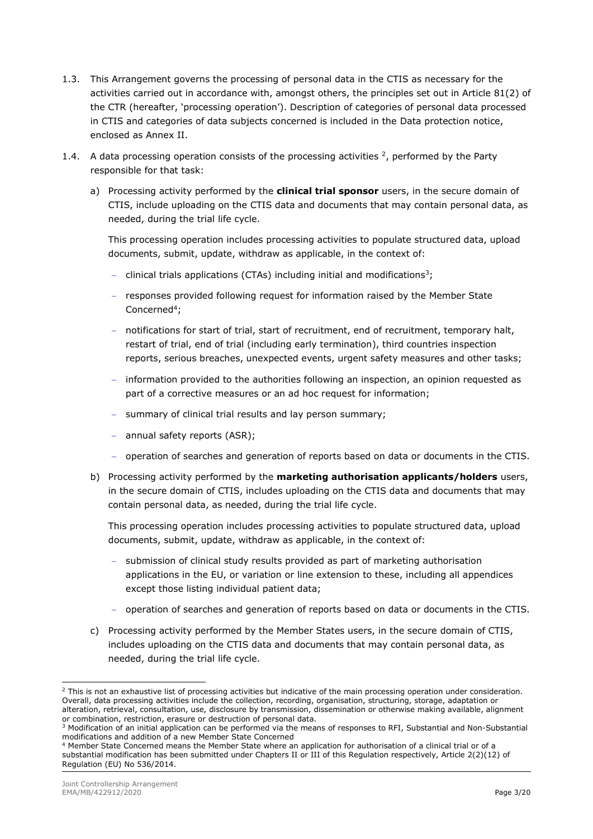- 1.3. This Arrangement governs the processing of personal data in the CTIS as necessary for the activities carried out in accordance with, amongst others, the principles set out in Article 81(2) of the CTR (hereafter, 'processing operation'). Description of categories of personal data processed in CTIS and categories of data subjects concerned is included in the Data protection notice, enclosed as Annex II.
- 1.4. A data processing operation consists of the processing activities  $^2$ , performed by the Party responsible for that task:
	- a) Processing activity performed by the **clinical trial sponsor** users, in the secure domain of CTIS, include uploading on the CTIS data and documents that may contain personal data, as needed, during the trial life cycle.

This processing operation includes processing activities to populate structured data, upload documents, submit, update, withdraw as applicable, in the context of:

- − clinical trials applications (CTAs) including initial and modifications<sup>3</sup>;
- − responses provided following request for information raised by the Member State Concerned<sup>4</sup>;
- − notifications for start of trial, start of recruitment, end of recruitment, temporary halt, restart of trial, end of trial (including early termination), third countries inspection reports, serious breaches, unexpected events, urgent safety measures and other tasks;
- information provided to the authorities following an inspection, an opinion requested as part of a corrective measures or an ad hoc request for information;
- − summary of clinical trial results and lay person summary;
- − annual safety reports (ASR);
- − operation of searches and generation of reports based on data or documents in the CTIS.
- b) Processing activity performed by the **marketing authorisation applicants/holders** users, in the secure domain of CTIS, includes uploading on the CTIS data and documents that may contain personal data, as needed, during the trial life cycle.

This processing operation includes processing activities to populate structured data, upload documents, submit, update, withdraw as applicable, in the context of:

- − submission of clinical study results provided as part of marketing authorisation applications in the EU, or variation or line extension to these, including all appendices except those listing individual patient data;
- − operation of searches and generation of reports based on data or documents in the CTIS.
- c) Processing activity performed by the Member States users, in the secure domain of CTIS, includes uploading on the CTIS data and documents that may contain personal data, as needed, during the trial life cycle.

 $<sup>2</sup>$  This is not an exhaustive list of processing activities but indicative of the main processing operation under consideration.</sup> Overall, data processing activities include the collection, recording, organisation, structuring, storage, adaptation or alteration, retrieval, consultation, use, disclosure by transmission, dissemination or otherwise making available, alignment or combination, restriction, erasure or destruction of personal data.

<sup>&</sup>lt;sup>3</sup> Modification of an initial application can be performed via the means of responses to RFI, Substantial and Non-Substantial modifications and addition of a new Member State Concerned

<sup>4</sup> Member State Concerned means the Member State where an application for authorisation of a clinical trial or of a substantial modification has been submitted under Chapters II or III of this Regulation respectively, Article 2(2)(12) of Regulation (EU) No 536/2014.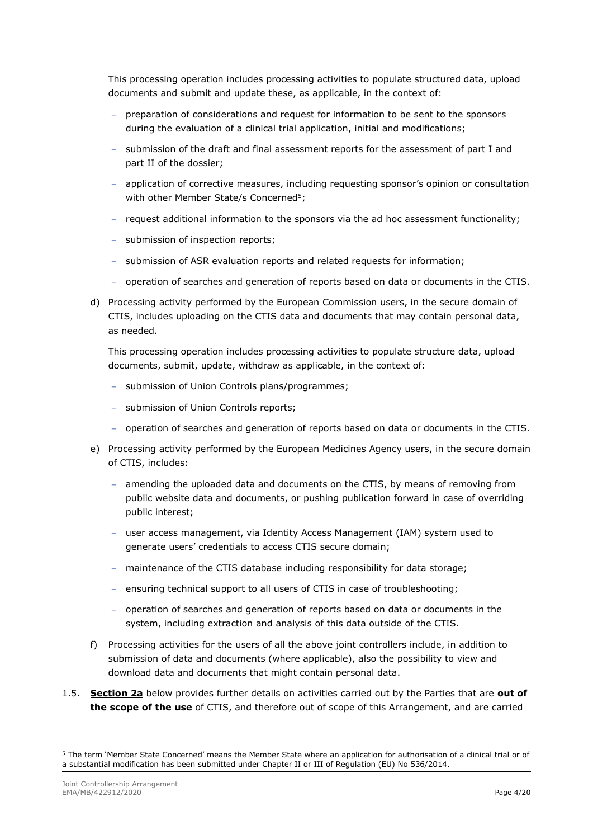This processing operation includes processing activities to populate structured data, upload documents and submit and update these, as applicable, in the context of:

- − preparation of considerations and request for information to be sent to the sponsors during the evaluation of a clinical trial application, initial and modifications;
- − submission of the draft and final assessment reports for the assessment of part I and part II of the dossier;
- − application of corrective measures, including requesting sponsor's opinion or consultation with other Member State/s Concerned<sup>5</sup>;
- − request additional information to the sponsors via the ad hoc assessment functionality;
- − submission of inspection reports;
- − submission of ASR evaluation reports and related requests for information;
- − operation of searches and generation of reports based on data or documents in the CTIS.
- d) Processing activity performed by the European Commission users, in the secure domain of CTIS, includes uploading on the CTIS data and documents that may contain personal data, as needed.

This processing operation includes processing activities to populate structure data, upload documents, submit, update, withdraw as applicable, in the context of:

- − submission of Union Controls plans/programmes;
- − submission of Union Controls reports;
- − operation of searches and generation of reports based on data or documents in the CTIS.
- e) Processing activity performed by the European Medicines Agency users, in the secure domain of CTIS, includes:
	- − amending the uploaded data and documents on the CTIS, by means of removing from public website data and documents, or pushing publication forward in case of overriding public interest;
	- − user access management, via Identity Access Management (IAM) system used to generate users' credentials to access CTIS secure domain;
	- − maintenance of the CTIS database including responsibility for data storage;
	- − ensuring technical support to all users of CTIS in case of troubleshooting;
	- − operation of searches and generation of reports based on data or documents in the system, including extraction and analysis of this data outside of the CTIS.
- f) Processing activities for the users of all the above joint controllers include, in addition to submission of data and documents (where applicable), also the possibility to view and download data and documents that might contain personal data.
- 1.5. **Section 2a** below provides further details on activities carried out by the Parties that are **out of the scope of the use** of CTIS, and therefore out of scope of this Arrangement, and are carried

<sup>5</sup> The term 'Member State Concerned' means the Member State where an application for authorisation of a clinical trial or of a substantial modification has been submitted under Chapter II or III of Regulation (EU) No 536/2014.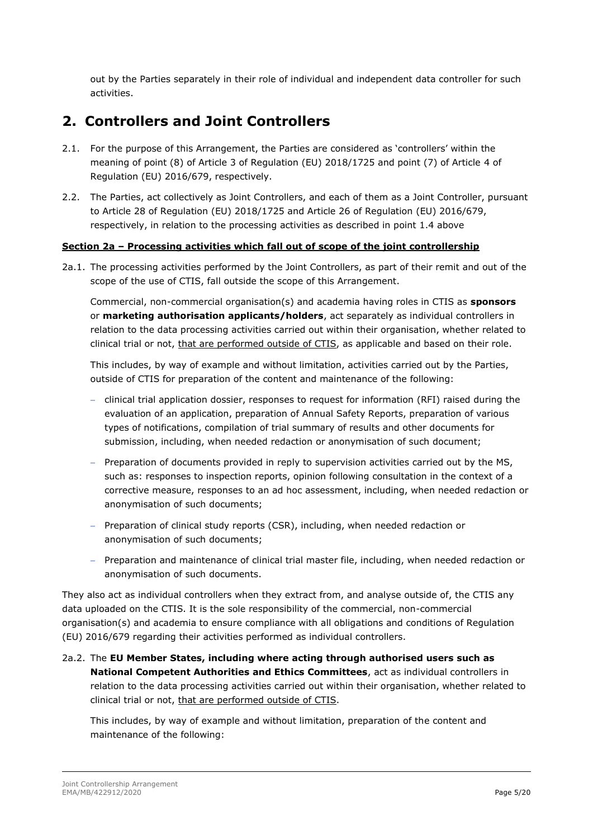out by the Parties separately in their role of individual and independent data controller for such activities.

## **2. Controllers and Joint Controllers**

- 2.1. For the purpose of this Arrangement, the Parties are considered as 'controllers' within the meaning of point (8) of Article 3 of Regulation (EU) 2018/1725 and point (7) of Article 4 of Regulation (EU) 2016/679, respectively.
- 2.2. The Parties, act collectively as Joint Controllers, and each of them as a Joint Controller, pursuant to Article 28 of Regulation (EU) 2018/1725 and Article 26 of Regulation (EU) 2016/679, respectively, in relation to the processing activities as described in point 1.4 above

#### **Section 2a – Processing activities which fall out of scope of the joint controllership**

2a.1. The processing activities performed by the Joint Controllers, as part of their remit and out of the scope of the use of CTIS, fall outside the scope of this Arrangement.

Commercial, non-commercial organisation(s) and academia having roles in CTIS as **sponsors** or **marketing authorisation applicants/holders**, act separately as individual controllers in relation to the data processing activities carried out within their organisation, whether related to clinical trial or not, that are performed outside of CTIS, as applicable and based on their role.

This includes, by way of example and without limitation, activities carried out by the Parties, outside of CTIS for preparation of the content and maintenance of the following:

- − clinical trial application dossier, responses to request for information (RFI) raised during the evaluation of an application, preparation of Annual Safety Reports, preparation of various types of notifications, compilation of trial summary of results and other documents for submission, including, when needed redaction or anonymisation of such document;
- − Preparation of documents provided in reply to supervision activities carried out by the MS, such as: responses to inspection reports, opinion following consultation in the context of a corrective measure, responses to an ad hoc assessment, including, when needed redaction or anonymisation of such documents;
- − Preparation of clinical study reports (CSR), including, when needed redaction or anonymisation of such documents;
- − Preparation and maintenance of clinical trial master file, including, when needed redaction or anonymisation of such documents.

They also act as individual controllers when they extract from, and analyse outside of, the CTIS any data uploaded on the CTIS. It is the sole responsibility of the commercial, non-commercial organisation(s) and academia to ensure compliance with all obligations and conditions of Regulation (EU) 2016/679 regarding their activities performed as individual controllers.

2a.2. The **EU Member States, including where acting through authorised users such as National Competent Authorities and Ethics Committees**, act as individual controllers in relation to the data processing activities carried out within their organisation, whether related to clinical trial or not, that are performed outside of CTIS.

This includes, by way of example and without limitation, preparation of the content and maintenance of the following: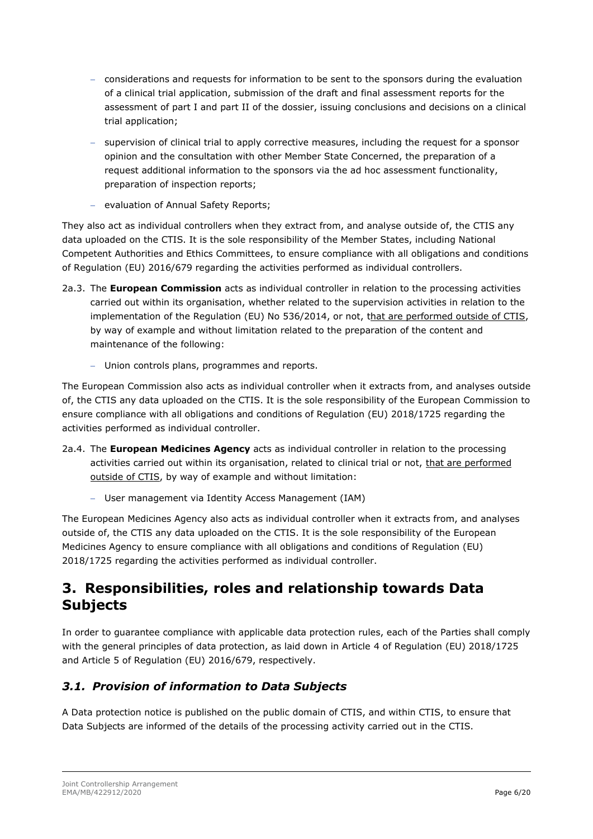- − considerations and requests for information to be sent to the sponsors during the evaluation of a clinical trial application, submission of the draft and final assessment reports for the assessment of part I and part II of the dossier, issuing conclusions and decisions on a clinical trial application;
- supervision of clinical trial to apply corrective measures, including the request for a sponsor opinion and the consultation with other Member State Concerned, the preparation of a request additional information to the sponsors via the ad hoc assessment functionality, preparation of inspection reports;
- − evaluation of Annual Safety Reports;

They also act as individual controllers when they extract from, and analyse outside of, the CTIS any data uploaded on the CTIS. It is the sole responsibility of the Member States, including National Competent Authorities and Ethics Committees, to ensure compliance with all obligations and conditions of Regulation (EU) 2016/679 regarding the activities performed as individual controllers.

- 2a.3. The **European Commission** acts as individual controller in relation to the processing activities carried out within its organisation, whether related to the supervision activities in relation to the implementation of the Regulation (EU) No 536/2014, or not, that are performed outside of CTIS, by way of example and without limitation related to the preparation of the content and maintenance of the following:
	- − Union controls plans, programmes and reports.

The European Commission also acts as individual controller when it extracts from, and analyses outside of, the CTIS any data uploaded on the CTIS. It is the sole responsibility of the European Commission to ensure compliance with all obligations and conditions of Regulation (EU) 2018/1725 regarding the activities performed as individual controller.

- 2a.4. The **European Medicines Agency** acts as individual controller in relation to the processing activities carried out within its organisation, related to clinical trial or not, that are performed outside of CTIS, by way of example and without limitation:
	- − User management via Identity Access Management (IAM)

The European Medicines Agency also acts as individual controller when it extracts from, and analyses outside of, the CTIS any data uploaded on the CTIS. It is the sole responsibility of the European Medicines Agency to ensure compliance with all obligations and conditions of Regulation (EU) 2018/1725 regarding the activities performed as individual controller.

## **3. Responsibilities, roles and relationship towards Data Subjects**

In order to guarantee compliance with applicable data protection rules, each of the Parties shall comply with the general principles of data protection, as laid down in Article 4 of Regulation (EU) 2018/1725 and Article 5 of Regulation (EU) 2016/679, respectively.

### *3.1. Provision of information to Data Subjects*

A Data protection notice is published on the public domain of CTIS, and within CTIS, to ensure that Data Subjects are informed of the details of the processing activity carried out in the CTIS.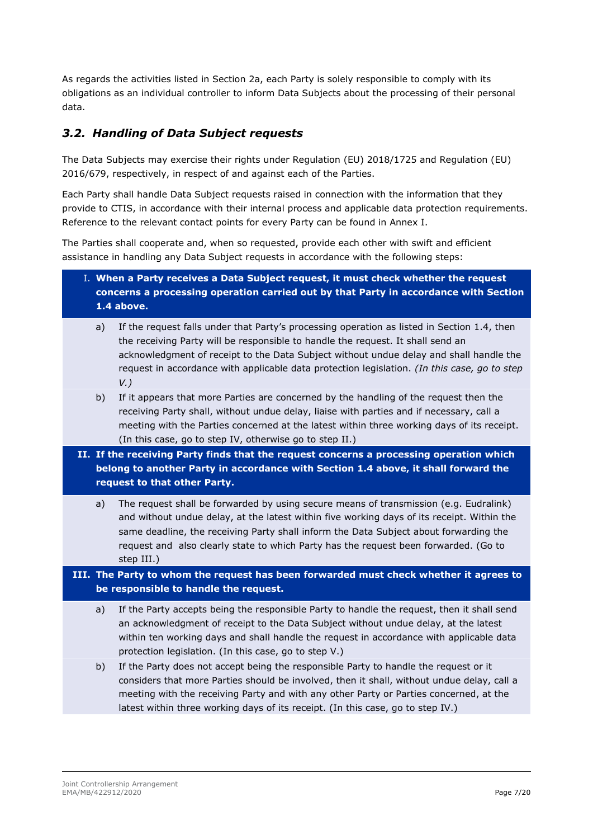As regards the activities listed in Section 2a, each Party is solely responsible to comply with its obligations as an individual controller to inform Data Subjects about the processing of their personal data.

### *3.2. Handling of Data Subject requests*

The Data Subjects may exercise their rights under Regulation (EU) 2018/1725 and Regulation (EU) 2016/679, respectively, in respect of and against each of the Parties.

Each Party shall handle Data Subject requests raised in connection with the information that they provide to CTIS, in accordance with their internal process and applicable data protection requirements. Reference to the relevant contact points for every Party can be found in Annex I.

The Parties shall cooperate and, when so requested, provide each other with swift and efficient assistance in handling any Data Subject requests in accordance with the following steps:

- I. **When a Party receives a Data Subject request, it must check whether the request concerns a processing operation carried out by that Party in accordance with Section 1.4 above.**
	- a) If the request falls under that Party's processing operation as listed in Section 1.4, then the receiving Party will be responsible to handle the request. It shall send an acknowledgment of receipt to the Data Subject without undue delay and shall handle the request in accordance with applicable data protection legislation. *(In this case, go to step V.)*
	- b) If it appears that more Parties are concerned by the handling of the request then the receiving Party shall, without undue delay, liaise with parties and if necessary, call a meeting with the Parties concerned at the latest within three working days of its receipt. (In this case, go to step IV, otherwise go to step II.)
- **II. If the receiving Party finds that the request concerns a processing operation which belong to another Party in accordance with Section 1.4 above, it shall forward the request to that other Party.**
	- a) The request shall be forwarded by using secure means of transmission (e.g. Eudralink) and without undue delay, at the latest within five working days of its receipt. Within the same deadline, the receiving Party shall inform the Data Subject about forwarding the request and also clearly state to which Party has the request been forwarded. (Go to step III.)

**III. The Party to whom the request has been forwarded must check whether it agrees to be responsible to handle the request.**

- a) If the Party accepts being the responsible Party to handle the request, then it shall send an acknowledgment of receipt to the Data Subject without undue delay, at the latest within ten working days and shall handle the request in accordance with applicable data protection legislation. (In this case, go to step V.)
- b) If the Party does not accept being the responsible Party to handle the request or it considers that more Parties should be involved, then it shall, without undue delay, call a meeting with the receiving Party and with any other Party or Parties concerned, at the latest within three working days of its receipt. (In this case, go to step IV.)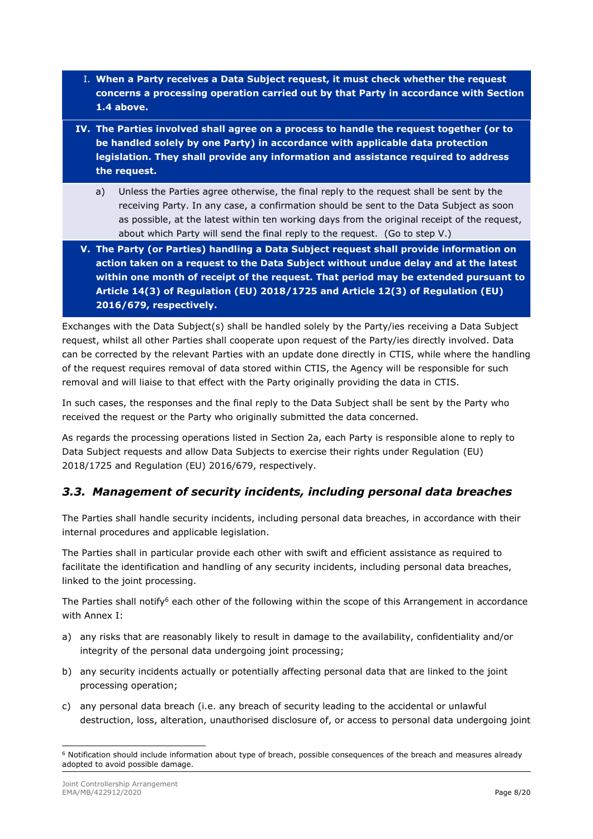- I. **When a Party receives a Data Subject request, it must check whether the request concerns a processing operation carried out by that Party in accordance with Section 1.4 above.**
- **IV. The Parties involved shall agree on a process to handle the request together (or to be handled solely by one Party) in accordance with applicable data protection legislation. They shall provide any information and assistance required to address the request.**
	- a) Unless the Parties agree otherwise, the final reply to the request shall be sent by the receiving Party. In any case, a confirmation should be sent to the Data Subject as soon as possible, at the latest within ten working days from the original receipt of the request, about which Party will send the final reply to the request. (Go to step V.)
- **V. The Party (or Parties) handling a Data Subject request shall provide information on action taken on a request to the Data Subject without undue delay and at the latest within one month of receipt of the request. That period may be extended pursuant to Article 14(3) of Regulation (EU) 2018/1725 and Article 12(3) of Regulation (EU) 2016/679, respectively.**

Exchanges with the Data Subject(s) shall be handled solely by the Party/ies receiving a Data Subject request, whilst all other Parties shall cooperate upon request of the Party/ies directly involved. Data can be corrected by the relevant Parties with an update done directly in CTIS, while where the handling of the request requires removal of data stored within CTIS, the Agency will be responsible for such removal and will liaise to that effect with the Party originally providing the data in CTIS.

In such cases, the responses and the final reply to the Data Subject shall be sent by the Party who received the request or the Party who originally submitted the data concerned.

As regards the processing operations listed in Section 2a, each Party is responsible alone to reply to Data Subject requests and allow Data Subjects to exercise their rights under Regulation (EU) 2018/1725 and Regulation (EU) 2016/679, respectively.

### *3.3. Management of security incidents, including personal data breaches*

The Parties shall handle security incidents, including personal data breaches, in accordance with their internal procedures and applicable legislation.

The Parties shall in particular provide each other with swift and efficient assistance as required to facilitate the identification and handling of any security incidents, including personal data breaches, linked to the joint processing.

The Parties shall notify<sup>6</sup> each other of the following within the scope of this Arrangement in accordance with Annex I:

- a) any risks that are reasonably likely to result in damage to the availability, confidentiality and/or integrity of the personal data undergoing joint processing;
- b) any security incidents actually or potentially affecting personal data that are linked to the joint processing operation;
- c) any personal data breach (i.e. any breach of security leading to the accidental or unlawful destruction, loss, alteration, unauthorised disclosure of, or access to personal data undergoing joint

<sup>6</sup> Notification should include information about type of breach, possible consequences of the breach and measures already adopted to avoid possible damage.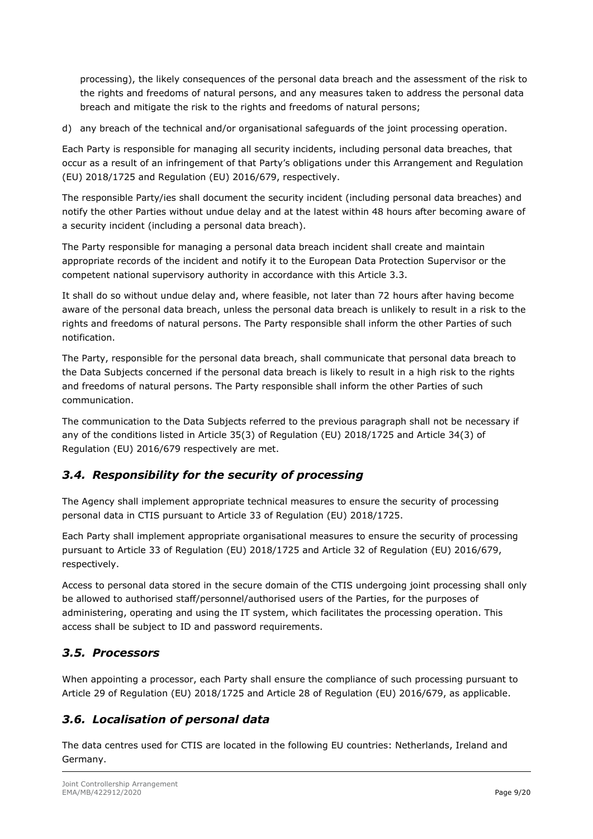processing), the likely consequences of the personal data breach and the assessment of the risk to the rights and freedoms of natural persons, and any measures taken to address the personal data breach and mitigate the risk to the rights and freedoms of natural persons;

d) any breach of the technical and/or organisational safeguards of the joint processing operation.

Each Party is responsible for managing all security incidents, including personal data breaches, that occur as a result of an infringement of that Party's obligations under this Arrangement and Regulation (EU) 2018/1725 and Regulation (EU) 2016/679, respectively.

The responsible Party/ies shall document the security incident (including personal data breaches) and notify the other Parties without undue delay and at the latest within 48 hours after becoming aware of a security incident (including a personal data breach).

The Party responsible for managing a personal data breach incident shall create and maintain appropriate records of the incident and notify it to the European Data Protection Supervisor or the competent national supervisory authority in accordance with this Article 3.3.

It shall do so without undue delay and, where feasible, not later than 72 hours after having become aware of the personal data breach, unless the personal data breach is unlikely to result in a risk to the rights and freedoms of natural persons. The Party responsible shall inform the other Parties of such notification.

The Party, responsible for the personal data breach, shall communicate that personal data breach to the Data Subjects concerned if the personal data breach is likely to result in a high risk to the rights and freedoms of natural persons. The Party responsible shall inform the other Parties of such communication.

The communication to the Data Subjects referred to the previous paragraph shall not be necessary if any of the conditions listed in Article 35(3) of Regulation (EU) 2018/1725 and Article 34(3) of Regulation (EU) 2016/679 respectively are met.

### *3.4. Responsibility for the security of processing*

The Agency shall implement appropriate technical measures to ensure the security of processing personal data in CTIS pursuant to Article 33 of Regulation (EU) 2018/1725.

Each Party shall implement appropriate organisational measures to ensure the security of processing pursuant to Article 33 of Regulation (EU) 2018/1725 and Article 32 of Regulation (EU) 2016/679, respectively.

Access to personal data stored in the secure domain of the CTIS undergoing joint processing shall only be allowed to authorised staff/personnel/authorised users of the Parties, for the purposes of administering, operating and using the IT system, which facilitates the processing operation. This access shall be subject to ID and password requirements.

## *3.5. Processors*

When appointing a processor, each Party shall ensure the compliance of such processing pursuant to Article 29 of Regulation (EU) 2018/1725 and Article 28 of Regulation (EU) 2016/679, as applicable.

## *3.6. Localisation of personal data*

The data centres used for CTIS are located in the following EU countries: Netherlands, Ireland and Germany.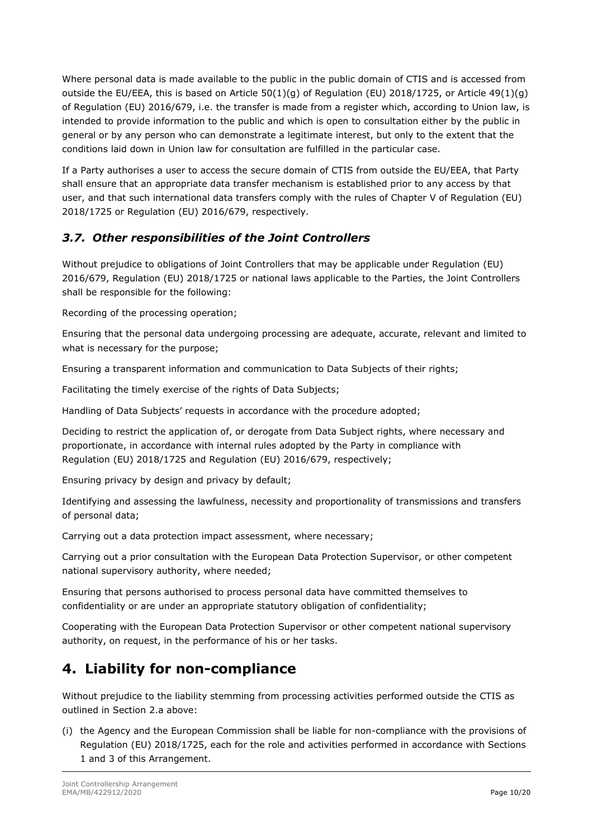Where personal data is made available to the public in the public domain of CTIS and is accessed from outside the EU/EEA, this is based on Article 50(1)(g) of Regulation (EU) 2018/1725, or Article 49(1)(g) of Regulation (EU) 2016/679, i.e. the transfer is made from a register which, according to Union law, is intended to provide information to the public and which is open to consultation either by the public in general or by any person who can demonstrate a legitimate interest, but only to the extent that the conditions laid down in Union law for consultation are fulfilled in the particular case.

If a Party authorises a user to access the secure domain of CTIS from outside the EU/EEA, that Party shall ensure that an appropriate data transfer mechanism is established prior to any access by that user, and that such international data transfers comply with the rules of Chapter V of Regulation (EU) 2018/1725 or Regulation (EU) 2016/679, respectively.

## *3.7. Other responsibilities of the Joint Controllers*

Without prejudice to obligations of Joint Controllers that may be applicable under Regulation (EU) 2016/679, Regulation (EU) 2018/1725 or national laws applicable to the Parties, the Joint Controllers shall be responsible for the following:

Recording of the processing operation;

Ensuring that the personal data undergoing processing are adequate, accurate, relevant and limited to what is necessary for the purpose;

Ensuring a transparent information and communication to Data Subjects of their rights;

Facilitating the timely exercise of the rights of Data Subjects;

Handling of Data Subjects' requests in accordance with the procedure adopted;

Deciding to restrict the application of, or derogate from Data Subject rights, where necessary and proportionate, in accordance with internal rules adopted by the Party in compliance with Regulation (EU) 2018/1725 and Regulation (EU) 2016/679, respectively;

Ensuring privacy by design and privacy by default;

Identifying and assessing the lawfulness, necessity and proportionality of transmissions and transfers of personal data;

Carrying out a data protection impact assessment, where necessary;

Carrying out a prior consultation with the European Data Protection Supervisor, or other competent national supervisory authority, where needed;

Ensuring that persons authorised to process personal data have committed themselves to confidentiality or are under an appropriate statutory obligation of confidentiality;

Cooperating with the European Data Protection Supervisor or other competent national supervisory authority, on request, in the performance of his or her tasks.

# **4. Liability for non-compliance**

Without prejudice to the liability stemming from processing activities performed outside the CTIS as outlined in Section 2.a above:

(i) the Agency and the European Commission shall be liable for non-compliance with the provisions of Regulation (EU) 2018/1725, each for the role and activities performed in accordance with Sections 1 and 3 of this Arrangement.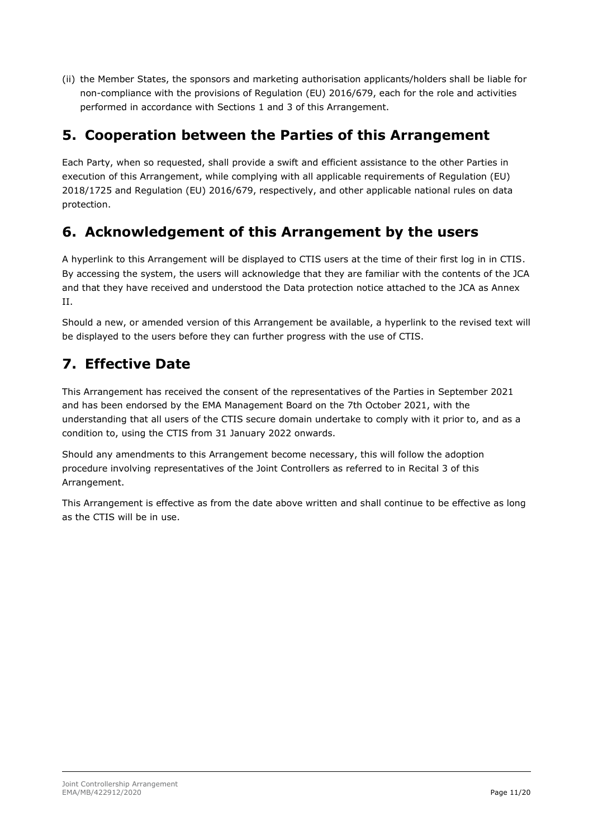(ii) the Member States, the sponsors and marketing authorisation applicants/holders shall be liable for non-compliance with the provisions of Regulation (EU) 2016/679, each for the role and activities performed in accordance with Sections 1 and 3 of this Arrangement.

# **5. Cooperation between the Parties of this Arrangement**

Each Party, when so requested, shall provide a swift and efficient assistance to the other Parties in execution of this Arrangement, while complying with all applicable requirements of Regulation (EU) 2018/1725 and Regulation (EU) 2016/679, respectively, and other applicable national rules on data protection.

# **6. Acknowledgement of this Arrangement by the users**

A hyperlink to this Arrangement will be displayed to CTIS users at the time of their first log in in CTIS. By accessing the system, the users will acknowledge that they are familiar with the contents of the JCA and that they have received and understood the Data protection notice attached to the JCA as Annex II.

Should a new, or amended version of this Arrangement be available, a hyperlink to the revised text will be displayed to the users before they can further progress with the use of CTIS.

# **7. Effective Date**

This Arrangement has received the consent of the representatives of the Parties in September 2021 and has been endorsed by the EMA Management Board on the 7th October 2021, with the understanding that all users of the CTIS secure domain undertake to comply with it prior to, and as a condition to, using the CTIS from 31 January 2022 onwards.

Should any amendments to this Arrangement become necessary, this will follow the adoption procedure involving representatives of the Joint Controllers as referred to in Recital 3 of this Arrangement.

This Arrangement is effective as from the date above written and shall continue to be effective as long as the CTIS will be in use.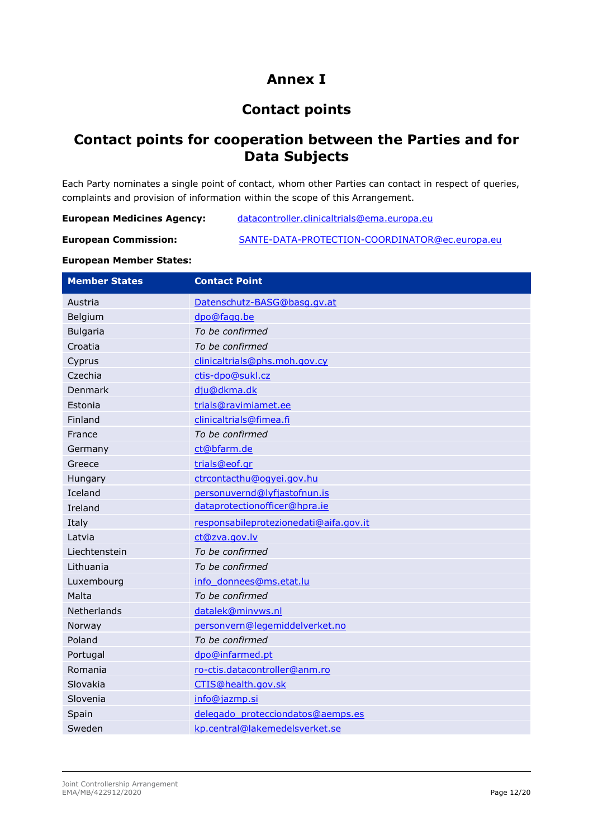# **Annex I**

# **Contact points**

## **Contact points for cooperation between the Parties and for Data Subjects**

Each Party nominates a single point of contact, whom other Parties can contact in respect of queries, complaints and provision of information within the scope of this Arrangement.

| <b>European Medicines Agency:</b><br>datacontroller.clinicaltrials@ema.europa.eu |
|----------------------------------------------------------------------------------|
|----------------------------------------------------------------------------------|

| <b>European Commission:</b> | SANTE-DATA-PROTECTION-COORDINATOR@ec.europa.eu |
|-----------------------------|------------------------------------------------|

#### **European Member States:**

| <b>Member States</b> | <b>Contact Point</b>                   |
|----------------------|----------------------------------------|
| Austria              | Datenschutz-BASG@basg.gv.at            |
| Belgium              | dpo@fagg.be                            |
| <b>Bulgaria</b>      | To be confirmed                        |
| Croatia              | To be confirmed                        |
| Cyprus               | clinicaltrials@phs.moh.gov.cy          |
| Czechia              | ctis-dpo@sukl.cz                       |
| Denmark              | dju@dkma.dk                            |
| Estonia              | trials@ravimiamet.ee                   |
| Finland              | clinicaltrials@fimea.fi                |
| France               | To be confirmed                        |
| Germany              | ct@bfarm.de                            |
| Greece               | trials@eof.gr                          |
| Hungary              | ctrcontacthu@ogyei.gov.hu              |
| Iceland              | personuvernd@lyfjastofnun.is           |
| Ireland              | dataprotectionofficer@hpra.ie          |
| Italy                | responsabileprotezionedati@aifa.gov.it |
| Latvia               | ct@zva.gov.lv                          |
| Liechtenstein        | To be confirmed                        |
| Lithuania            | To be confirmed                        |
| Luxembourg           | info donnees@ms.etat.lu                |
| Malta                | To be confirmed                        |
| <b>Netherlands</b>   | datalek@minvws.nl                      |
| Norway               | personvern@legemiddelverket.no         |
| Poland               | To be confirmed                        |
| Portugal             | dpo@infarmed.pt                        |
| Romania              | ro-ctis.datacontroller@anm.ro          |
| Slovakia             | CTIS@health.gov.sk                     |
| Slovenia             | info@jazmp.si                          |
| Spain                | delegado protecciondatos@aemps.es      |
| Sweden               | kp.central@lakemedelsverket.se         |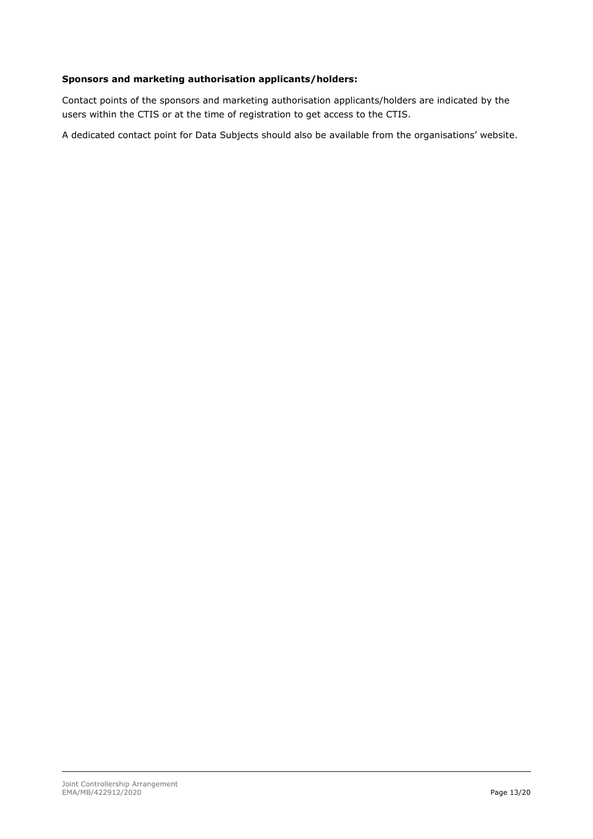#### **Sponsors and marketing authorisation applicants/holders:**

Contact points of the sponsors and marketing authorisation applicants/holders are indicated by the users within the CTIS or at the time of registration to get access to the CTIS.

A dedicated contact point for Data Subjects should also be available from the organisations' website.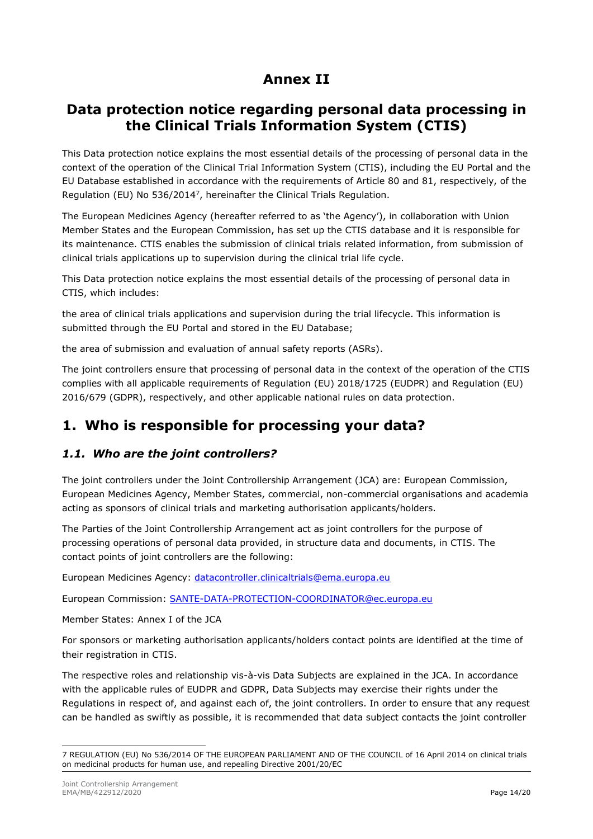## **Annex II**

## **Data protection notice regarding personal data processing in the Clinical Trials Information System (CTIS)**

This Data protection notice explains the most essential details of the processing of personal data in the context of the operation of the Clinical Trial Information System (CTIS), including the EU Portal and the EU Database established in accordance with the requirements of Article 80 and 81, respectively, of the Regulation (EU) No 536/2014<sup>7</sup> , hereinafter the Clinical Trials Regulation.

The European Medicines Agency (hereafter referred to as 'the Agency'), in collaboration with Union Member States and the European Commission, has set up the CTIS database and it is responsible for its maintenance. CTIS enables the submission of clinical trials related information, from submission of clinical trials applications up to supervision during the clinical trial life cycle.

This Data protection notice explains the most essential details of the processing of personal data in CTIS, which includes:

the area of clinical trials applications and supervision during the trial lifecycle. This information is submitted through the EU Portal and stored in the EU Database;

the area of submission and evaluation of annual safety reports (ASRs).

The joint controllers ensure that processing of personal data in the context of the operation of the CTIS complies with all applicable requirements of Regulation (EU) 2018/1725 (EUDPR) and Regulation (EU) 2016/679 (GDPR), respectively, and other applicable national rules on data protection.

# **1. Who is responsible for processing your data?**

### *1.1. Who are the joint controllers?*

The joint controllers under the Joint Controllership Arrangement (JCA) are: European Commission, European Medicines Agency, Member States, commercial, non-commercial organisations and academia acting as sponsors of clinical trials and marketing authorisation applicants/holders.

The Parties of the Joint Controllership Arrangement act as joint controllers for the purpose of processing operations of personal data provided, in structure data and documents, in CTIS. The contact points of joint controllers are the following:

European Medicines Agency: [datacontroller.clinicaltrials@ema.europa.eu](mailto:datacontroller.clinicaltrials@ema.europa.eu)

European Commission: [SANTE-DATA-PROTECTION-COORDINATOR@ec.europa.eu](mailto:SANTE-DATA-PROTECTION-COORDINATOR@ec.europa.eu)

Member States: Annex I of the JCA

For sponsors or marketing authorisation applicants/holders contact points are identified at the time of their registration in CTIS.

The respective roles and relationship vis-à-vis Data Subjects are explained in the JCA. In accordance with the applicable rules of EUDPR and GDPR, Data Subjects may exercise their rights under the Regulations in respect of, and against each of, the joint controllers. In order to ensure that any request can be handled as swiftly as possible, it is recommended that data subject contacts the joint controller

<sup>7</sup> REGULATION (EU) No 536/2014 OF THE EUROPEAN PARLIAMENT AND OF THE COUNCIL of 16 April 2014 on clinical trials on medicinal products for human use, and repealing Directive 2001/20/EC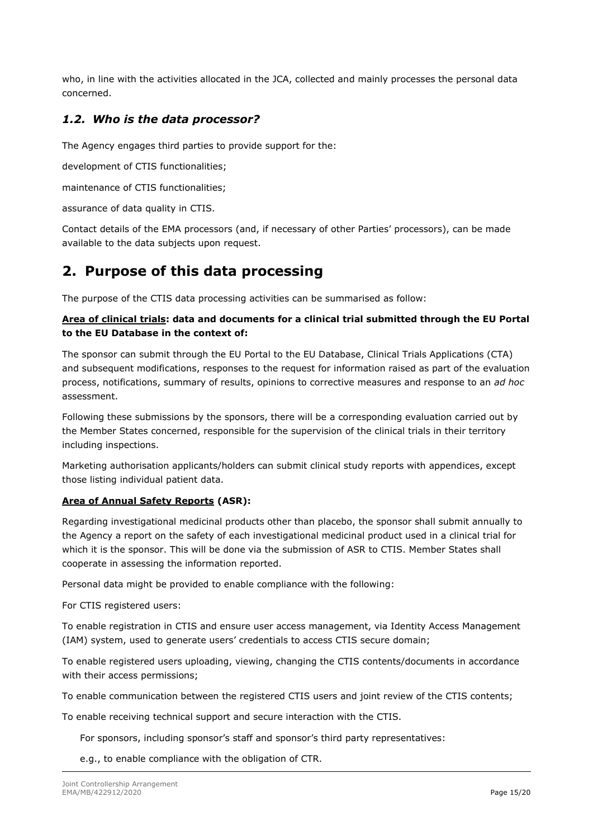who, in line with the activities allocated in the JCA, collected and mainly processes the personal data concerned.

### *1.2. Who is the data processor?*

The Agency engages third parties to provide support for the:

development of CTIS functionalities;

maintenance of CTIS functionalities;

assurance of data quality in CTIS.

Contact details of the EMA processors (and, if necessary of other Parties' processors), can be made available to the data subjects upon request.

## **2. Purpose of this data processing**

The purpose of the CTIS data processing activities can be summarised as follow:

#### **Area of clinical trials: data and documents for a clinical trial submitted through the EU Portal to the EU Database in the context of:**

The sponsor can submit through the EU Portal to the EU Database, Clinical Trials Applications (CTA) and subsequent modifications, responses to the request for information raised as part of the evaluation process, notifications, summary of results, opinions to corrective measures and response to an *ad hoc* assessment.

Following these submissions by the sponsors, there will be a corresponding evaluation carried out by the Member States concerned, responsible for the supervision of the clinical trials in their territory including inspections.

Marketing authorisation applicants/holders can submit clinical study reports with appendices, except those listing individual patient data.

#### **Area of Annual Safety Reports (ASR):**

Regarding investigational medicinal products other than placebo, the sponsor shall submit annually to the Agency a report on the safety of each investigational medicinal product used in a clinical trial for which it is the sponsor. This will be done via the submission of ASR to CTIS. Member States shall cooperate in assessing the information reported.

Personal data might be provided to enable compliance with the following:

For CTIS registered users:

To enable registration in CTIS and ensure user access management, via Identity Access Management (IAM) system, used to generate users' credentials to access CTIS secure domain;

To enable registered users uploading, viewing, changing the CTIS contents/documents in accordance with their access permissions;

To enable communication between the registered CTIS users and joint review of the CTIS contents;

To enable receiving technical support and secure interaction with the CTIS.

For sponsors, including sponsor's staff and sponsor's third party representatives:

e.g., to enable compliance with the obligation of CTR.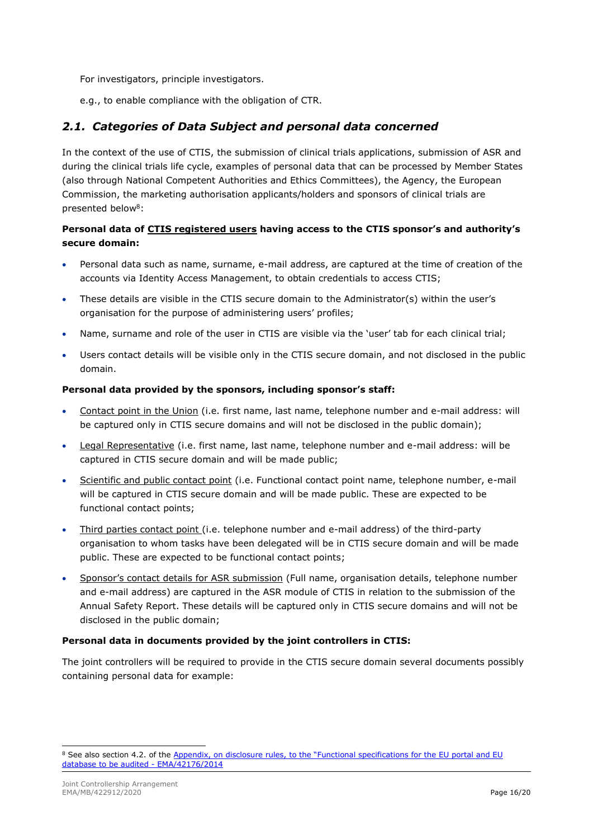For investigators, principle investigators.

e.g., to enable compliance with the obligation of CTR.

### *2.1. Categories of Data Subject and personal data concerned*

In the context of the use of CTIS, the submission of clinical trials applications, submission of ASR and during the clinical trials life cycle, examples of personal data that can be processed by Member States (also through National Competent Authorities and Ethics Committees), the Agency, the European Commission, the marketing authorisation applicants/holders and sponsors of clinical trials are presented below<sup>8</sup>:

### **Personal data of CTIS registered users having access to the CTIS sponsor's and authority's secure domain:**

- Personal data such as name, surname, e-mail address, are captured at the time of creation of the accounts via Identity Access Management, to obtain credentials to access CTIS;
- These details are visible in the CTIS secure domain to the Administrator(s) within the user's organisation for the purpose of administering users' profiles;
- Name, surname and role of the user in CTIS are visible via the 'user' tab for each clinical trial;
- Users contact details will be visible only in the CTIS secure domain, and not disclosed in the public domain.

#### **Personal data provided by the sponsors, including sponsor's staff:**

- Contact point in the Union (i.e. first name, last name, telephone number and e-mail address: will be captured only in CTIS secure domains and will not be disclosed in the public domain);
- Legal Representative (i.e. first name, last name, telephone number and e-mail address: will be captured in CTIS secure domain and will be made public;
- Scientific and public contact point (i.e. Functional contact point name, telephone number, e-mail will be captured in CTIS secure domain and will be made public. These are expected to be functional contact points;
- Third parties contact point (i.e. telephone number and e-mail address) of the third-party organisation to whom tasks have been delegated will be in CTIS secure domain and will be made public. These are expected to be functional contact points;
- Sponsor's contact details for ASR submission (Full name, organisation details, telephone number and e-mail address) are captured in the ASR module of CTIS in relation to the submission of the Annual Safety Report. These details will be captured only in CTIS secure domains and will not be disclosed in the public domain;

#### **Personal data in documents provided by the joint controllers in CTIS:**

The joint controllers will be required to provide in the CTIS secure domain several documents possibly containing personal data for example:

<sup>&</sup>lt;sup>8</sup> See also section 4.2. of the Appendix, on disclosure rules, to the "Functional specifications for the EU portal and EU [database to be audited -](https://www.ema.europa.eu/en/documents/other/appendix-disclosure-rules-functional-specifications-eu-portal-eu-database-be-audited_en.pdf) EMA/42176/2014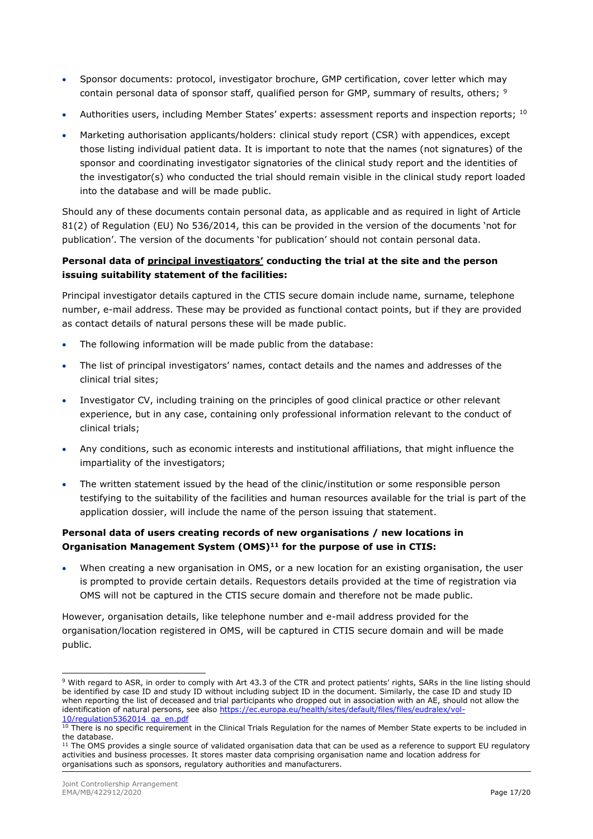- Sponsor documents: protocol, investigator brochure, GMP certification, cover letter which may contain personal data of sponsor staff, qualified person for GMP, summary of results, others; <sup>9</sup>
- Authorities users, including Member States' experts: assessment reports and inspection reports; 10
- Marketing authorisation applicants/holders: clinical study report (CSR) with appendices, except those listing individual patient data. It is important to note that the names (not signatures) of the sponsor and coordinating investigator signatories of the clinical study report and the identities of the investigator(s) who conducted the trial should remain visible in the clinical study report loaded into the database and will be made public.

Should any of these documents contain personal data, as applicable and as required in light of Article 81(2) of Regulation (EU) No 536/2014, this can be provided in the version of the documents 'not for publication'. The version of the documents 'for publication' should not contain personal data.

#### **Personal data of principal investigators' conducting the trial at the site and the person issuing suitability statement of the facilities:**

Principal investigator details captured in the CTIS secure domain include name, surname, telephone number, e-mail address. These may be provided as functional contact points, but if they are provided as contact details of natural persons these will be made public.

- The following information will be made public from the database:
- The list of principal investigators' names, contact details and the names and addresses of the clinical trial sites;
- Investigator CV, including training on the principles of good clinical practice or other relevant experience, but in any case, containing only professional information relevant to the conduct of clinical trials;
- Any conditions, such as economic interests and institutional affiliations, that might influence the impartiality of the investigators;
- The written statement issued by the head of the clinic/institution or some responsible person testifying to the suitability of the facilities and human resources available for the trial is part of the application dossier, will include the name of the person issuing that statement.

### **Personal data of users creating records of new organisations / new locations in Organisation Management System (OMS)<sup>11</sup> for the purpose of use in CTIS:**

• When creating a new organisation in OMS, or a new location for an existing organisation, the user is prompted to provide certain details. Requestors details provided at the time of registration via OMS will not be captured in the CTIS secure domain and therefore not be made public.

However, organisation details, like telephone number and e-mail address provided for the organisation/location registered in OMS, will be captured in CTIS secure domain and will be made public.

<sup>9</sup> With regard to ASR, in order to comply with Art 43.3 of the CTR and protect patients' rights, SARs in the line listing should be identified by case ID and study ID without including subject ID in the document. Similarly, the case ID and study ID when reporting the list of deceased and trial participants who dropped out in association with an AE, should not allow the identification of natural persons, see als[o https://ec.europa.eu/health/sites/default/files/files/eudralex/vol-](https://ec.europa.eu/health/sites/default/files/files/eudralex/vol-10/regulation5362014_qa_en.pdf)[10/regulation5362014\\_qa\\_en.pdf](https://ec.europa.eu/health/sites/default/files/files/eudralex/vol-10/regulation5362014_qa_en.pdf)

<sup>&</sup>lt;sup>10</sup> There is no specific requirement in the Clinical Trials Regulation for the names of Member State experts to be included in the database.

 $11$  The OMS provides a single source of validated organisation data that can be used as a reference to support EU regulatory activities and business processes. It stores master data comprising organisation name and location address for organisations such as sponsors, regulatory authorities and manufacturers.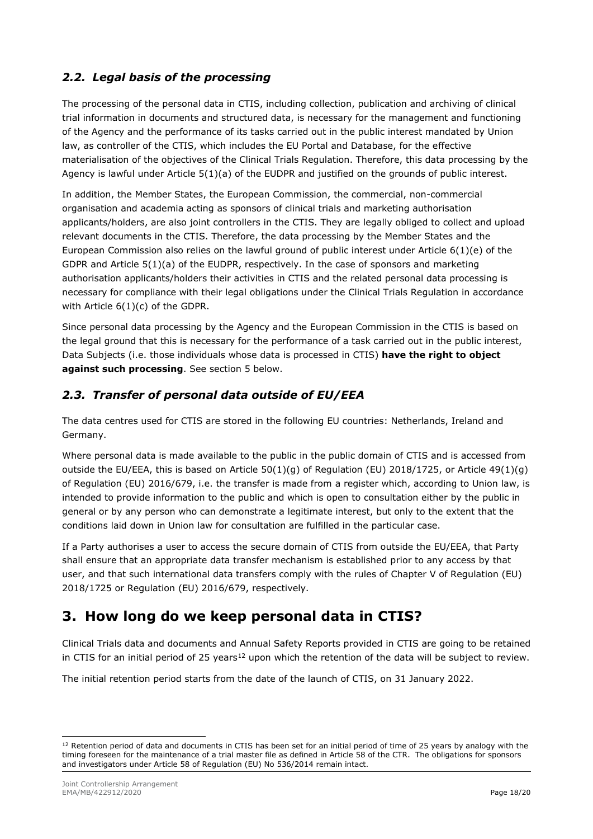## *2.2. Legal basis of the processing*

The processing of the personal data in CTIS, including collection, publication and archiving of clinical trial information in documents and structured data, is necessary for the management and functioning of the Agency and the performance of its tasks carried out in the public interest mandated by Union law, as controller of the CTIS, which includes the EU Portal and Database, for the effective materialisation of the objectives of the Clinical Trials Regulation. Therefore, this data processing by the Agency is lawful under Article 5(1)(a) of the EUDPR and justified on the grounds of public interest.

In addition, the Member States, the European Commission, the commercial, non-commercial organisation and academia acting as sponsors of clinical trials and marketing authorisation applicants/holders, are also joint controllers in the CTIS. They are legally obliged to collect and upload relevant documents in the CTIS. Therefore, the data processing by the Member States and the European Commission also relies on the lawful ground of public interest under Article 6(1)(e) of the GDPR and Article 5(1)(a) of the EUDPR, respectively. In the case of sponsors and marketing authorisation applicants/holders their activities in CTIS and the related personal data processing is necessary for compliance with their legal obligations under the Clinical Trials Regulation in accordance with Article 6(1)(c) of the GDPR.

Since personal data processing by the Agency and the European Commission in the CTIS is based on the legal ground that this is necessary for the performance of a task carried out in the public interest, Data Subjects (i.e. those individuals whose data is processed in CTIS) **have the right to object against such processing**. See section 5 below.

## *2.3. Transfer of personal data outside of EU/EEA*

The data centres used for CTIS are stored in the following EU countries: Netherlands, Ireland and Germany.

Where personal data is made available to the public in the public domain of CTIS and is accessed from outside the EU/EEA, this is based on Article  $50(1)(q)$  of Regulation (EU) 2018/1725, or Article 49(1)(q) of Regulation (EU) 2016/679, i.e. the transfer is made from a register which, according to Union law, is intended to provide information to the public and which is open to consultation either by the public in general or by any person who can demonstrate a legitimate interest, but only to the extent that the conditions laid down in Union law for consultation are fulfilled in the particular case.

If a Party authorises a user to access the secure domain of CTIS from outside the EU/EEA, that Party shall ensure that an appropriate data transfer mechanism is established prior to any access by that user, and that such international data transfers comply with the rules of Chapter V of Regulation (EU) 2018/1725 or Regulation (EU) 2016/679, respectively.

# **3. How long do we keep personal data in CTIS?**

Clinical Trials data and documents and Annual Safety Reports provided in CTIS are going to be retained in CTIS for an initial period of 25 years<sup>12</sup> upon which the retention of the data will be subject to review.

The initial retention period starts from the date of the launch of CTIS, on 31 January 2022.

<sup>&</sup>lt;sup>12</sup> Retention period of data and documents in CTIS has been set for an initial period of time of 25 years by analogy with the timing foreseen for the maintenance of a trial master file as defined in Article 58 of the CTR. The obligations for sponsors and investigators under Article 58 of Regulation (EU) No 536/2014 remain intact.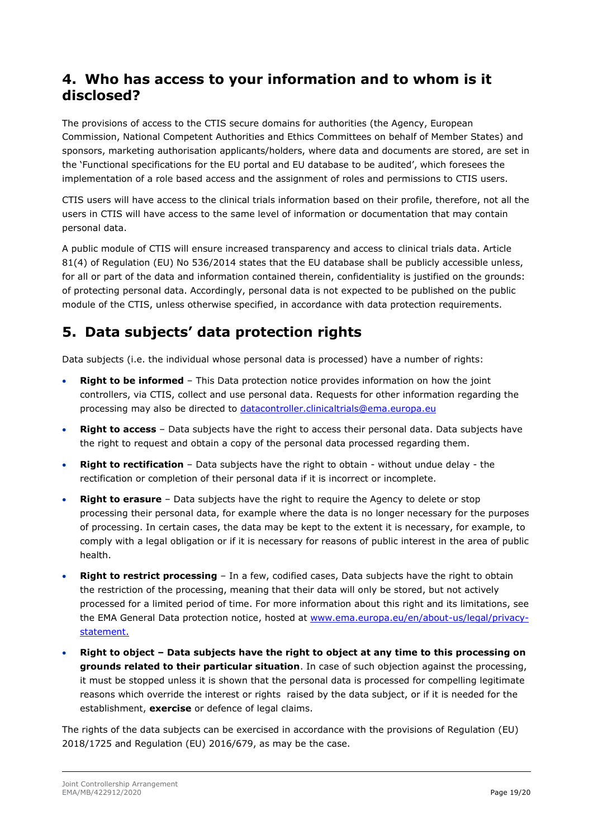## **4. Who has access to your information and to whom is it disclosed?**

The provisions of access to the CTIS secure domains for authorities (the Agency, European Commission, National Competent Authorities and Ethics Committees on behalf of Member States) and sponsors, marketing authorisation applicants/holders, where data and documents are stored, are set in the 'Functional specifications for the EU portal and EU database to be audited', which foresees the implementation of a role based access and the assignment of roles and permissions to CTIS users.

CTIS users will have access to the clinical trials information based on their profile, therefore, not all the users in CTIS will have access to the same level of information or documentation that may contain personal data.

A public module of CTIS will ensure increased transparency and access to clinical trials data. Article 81(4) of Regulation (EU) No 536/2014 states that the EU database shall be publicly accessible unless, for all or part of the data and information contained therein, confidentiality is justified on the grounds: of protecting personal data. Accordingly, personal data is not expected to be published on the public module of the CTIS, unless otherwise specified, in accordance with data protection requirements.

# **5. Data subjects' data protection rights**

Data subjects (i.e. the individual whose personal data is processed) have a number of rights:

- **Right to be informed** This Data protection notice provides information on how the joint controllers, via CTIS, collect and use personal data. Requests for other information regarding the processing may also be directed to [datacontroller.clinicaltrials@ema.europa.eu](mailto:datacontroller.clinicaltrials@ema.europa.eu)
- **Right to access**  Data subjects have the right to access their personal data. Data subjects have the right to request and obtain a copy of the personal data processed regarding them.
- **Right to rectification** Data subjects have the right to obtain without undue delay the rectification or completion of their personal data if it is incorrect or incomplete.
- **Right to erasure** Data subjects have the right to require the Agency to delete or stop processing their personal data, for example where the data is no longer necessary for the purposes of processing. In certain cases, the data may be kept to the extent it is necessary, for example, to comply with a legal obligation or if it is necessary for reasons of public interest in the area of public health.
- **Right to restrict processing** In a few, codified cases, Data subjects have the right to obtain the restriction of the processing, meaning that their data will only be stored, but not actively processed for a limited period of time. For more information about this right and its limitations, see the EMA General Data protection notice, hosted at [www.ema.europa.eu/en/about-us/legal/privacy](http://www.ema.europa.eu/en/about-us/legal/privacy-statement)[statement.](http://www.ema.europa.eu/en/about-us/legal/privacy-statement)
- **Right to object – Data subjects have the right to object at any time to this processing on grounds related to their particular situation**. In case of such objection against the processing, it must be stopped unless it is shown that the personal data is processed for compelling legitimate reasons which override the interest or rights raised by the data subject, or if it is needed for the establishment, **exercise** or defence of legal claims.

The rights of the data subjects can be exercised in accordance with the provisions of Regulation (EU) 2018/1725 and Regulation (EU) 2016/679, as may be the case.